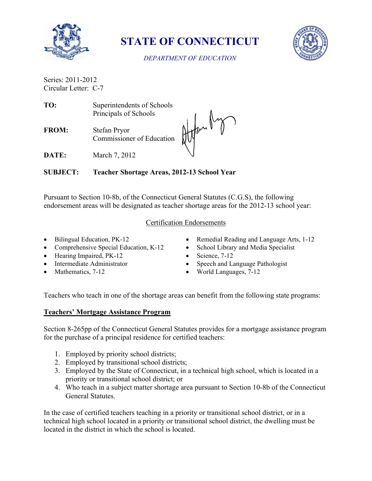

**STATE OF CONNECTICUT**



*DEPARTMENT OF EDUCATION*

Series: 2011-2012 Circular Letter: C-7

| TO:          | Superintendents of Schools                |  |
|--------------|-------------------------------------------|--|
|              | Principals of Schools                     |  |
| <b>FROM:</b> | Stefan Pryor<br>Commissioner of Education |  |
|              | March 7–2012                              |  |

**DATE:** March 7, 2012

**SUBJECT: Teacher Shortage Areas, 2012-13 School Year**

Pursuant to Section 10-8b, of the Connecticut General Statutes (C.G.S), the following endorsement areas will be designated as teacher shortage areas for the 2012-13 school year:

## Certification Endorsements

- Bilingual Education, PK-12
- Comprehensive Special Education, K-12
- Hearing Impaired, PK-12
- Intermediate Administrator
- Mathematics, 7-12
- Remedial Reading and Language Arts, 1-12
- School Library and Media Specialist
- $\bullet$  Science, 7-12
- Speech and Language Pathologist
- World Languages, 7-12

Teachers who teach in one of the shortage areas can benefit from the following state programs:

# **Teachers' Mortgage Assistance Program**

Section 8-265pp of the Connecticut General Statutes provides for a mortgage assistance program for the purchase of a principal residence for certified teachers:

- 1. Employed by priority school districts;
- 2. Employed by transitional school districts;
- 3. Employed by the State of Connecticut, in a technical high school, which is located in a priority or transitional school district; or
- 4. Who teach in a subject matter shortage area pursuant to Section 10-8b of the Connecticut General Statutes.

In the case of certified teachers teaching in a priority or transitional school district, or in a technical high school located in a priority or transitional school district, the dwelling must be located in the district in which the school is located.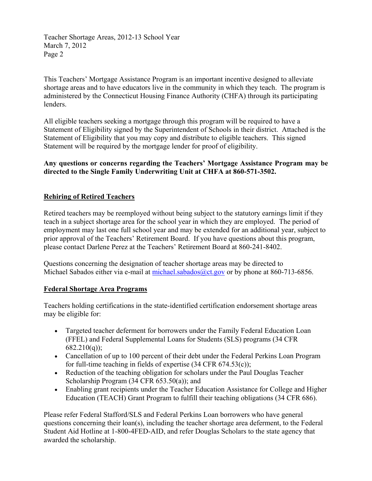Teacher Shortage Areas, 2012-13 School Year March 7, 2012 Page 2

This Teachers' Mortgage Assistance Program is an important incentive designed to alleviate shortage areas and to have educators live in the community in which they teach. The program is administered by the Connecticut Housing Finance Authority (CHFA) through its participating lenders.

All eligible teachers seeking a mortgage through this program will be required to have a Statement of Eligibility signed by the Superintendent of Schools in their district. Attached is the Statement of Eligibility that you may copy and distribute to eligible teachers. This signed Statement will be required by the mortgage lender for proof of eligibility.

**Any questions or concerns regarding the Teachers' Mortgage Assistance Program may be directed to the Single Family Underwriting Unit at CHFA at 860-571-3502.** 

## **Rehiring of Retired Teachers**

Retired teachers may be reemployed without being subject to the statutory earnings limit if they teach in a subject shortage area for the school year in which they are employed. The period of employment may last one full school year and may be extended for an additional year, subject to prior approval of the Teachers' Retirement Board. If you have questions about this program, please contact Darlene Perez at the Teachers' Retirement Board at 860-241-8402.

Questions concerning the designation of teacher shortage areas may be directed to Michael Sabados either via e-mail at [michael.sabados@ct.gov](mailto:michael.sabados@ct.gov) or by phone at 860-713-6856.

#### **Federal Shortage Area Programs**

Teachers holding certifications in the state-identified certification endorsement shortage areas may be eligible for:

- Targeted teacher deferment for borrowers under the Family Federal Education Loan (FFEL) and Federal Supplemental Loans for Students (SLS) programs (34 CFR  $682.210(q)$ ;
- Cancellation of up to 100 percent of their debt under the Federal Perkins Loan Program for full-time teaching in fields of expertise (34 CFR 674.53(c));
- Reduction of the teaching obligation for scholars under the Paul Douglas Teacher Scholarship Program (34 CFR 653.50(a)); and
- Enabling grant recipients under the Teacher Education Assistance for College and Higher Education (TEACH) Grant Program to fulfill their teaching obligations (34 CFR 686).

Please refer Federal Stafford/SLS and Federal Perkins Loan borrowers who have general questions concerning their loan(s), including the teacher shortage area deferment, to the Federal Student Aid Hotline at 1-800-4FED-AID, and refer Douglas Scholars to the state agency that awarded the scholarship.